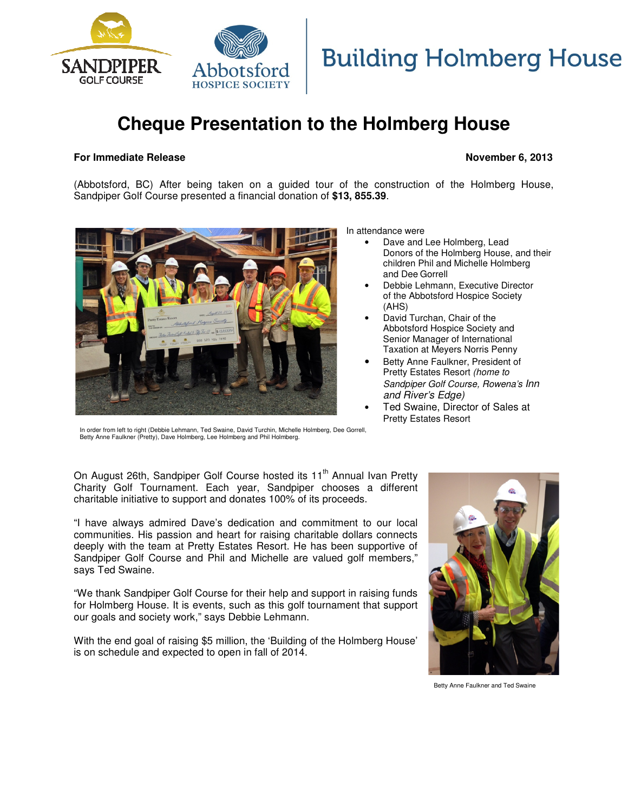

# **Building Holmberg House**

# **Cheque Presentation to the Holmberg House**

## **For Immediate Release**

# **November 6 6, 2013**

(Abbotsford, BC) After being taken on a guided tour of the construction of the Holmberg House, (Abbotsford, BC) After being taken on a guided tour of the cons<br>Sandpiper Golf Course presented a financial donation of \$13, 855.39.



In attendance were

- Dave and Lee Holmberg, Lead Donors of the Holmberg House, and their children Phil and Michelle Michelle Holmberg and Dee Gorrell
- Debbie Lehmann, Executive Director of the Abbotsford Hospice Society (AHS) nn, Executive Dire<br>ord Hospice Societ<br>, Chair of the<br>spice Society and
- David Turchan, Chair of the Abbotsford Hospice Society Senior Manager of International Taxation at Meyers Norris Penny
- Betty Anne Faulkner, President of Pretty Estates Resort (home to Sandpiper Golf Course, Rowena's Rowena's Inn and River's Edge)
- Ted Swaine, Director of Sales at Pretty Estates Resort

In order from left to right (Debbie Lehmann, Ted Swaine, David Turchin, Michelle Holmberg, Dee Gorrell, Betty Anne Faulkner (Pretty), Dave Holmberg, Lee Holmberg and Phil Holmberg.

On August 26th, Sandpiper Golf Course hosted its 11<sup>th</sup> Annual Ivan Pretty Charity Golf Tournament. Each year, Sandpiper chooses a different charitable initiative to support and donates 100% of its proceeds.

"I have always admired Dave's dedication and commitment to our local communities. His passion and heart for raising charitable dollars connects deeply with the team at Pretty Estates Resort. He has been supportive of Sandpiper Golf Course and Phil and Michelle are valued golf members," says Ted Swaine.

"We thank Sandpiper Golf Course for their help and support in raising funds for Holmberg House. It is events, such as this golf tournament that support our goals and society work," says Debbie Lehmann. se and Phil and Michelle are valued golf members,"<br>Golf Course for their help and support in raising funds<br>It is events, such as this golf tournament that support

With the end goal of raising \$5 million, the 'Building of the Holmberg House' is on schedule and expected to open in fall of 2014.



Betty Anne Faulkner and Ted Swaine